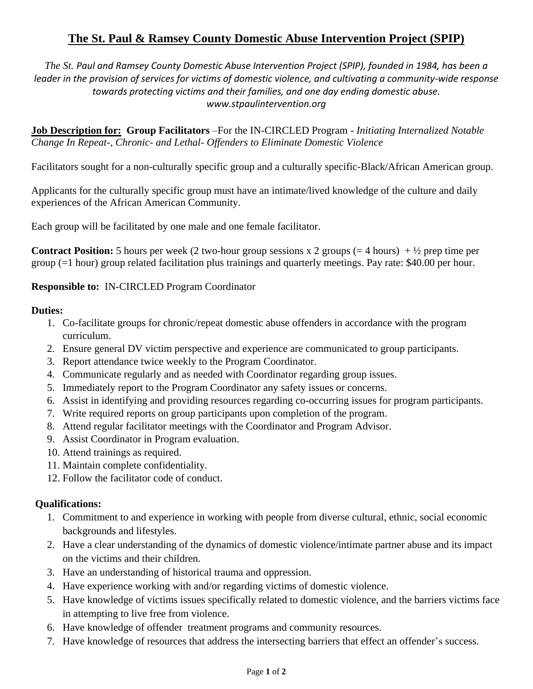# **The St. Paul & Ramsey County Domestic Abuse Intervention Project (SPIP)**

*The St. Paul and Ramsey County Domestic Abuse Intervention Project (SPIP), founded in 1984, has been a leader in the provision of services for victims of domestic violence, and cultivating a community-wide response towards protecting victims and their families, and one day ending domestic abuse. www.stpaulintervention.org*

**Job Description for: Group Facilitators** –For the IN-CIRCLED Program - *Initiating Internalized Notable Change In Repeat-, Chronic- and Lethal- Offenders to Eliminate Domestic Violence*

Facilitators sought for a non-culturally specific group and a culturally specific-Black/African American group.

Applicants for the culturally specific group must have an intimate/lived knowledge of the culture and daily experiences of the African American Community.

Each group will be facilitated by one male and one female facilitator.

**Contract Position:** 5 hours per week (2 two-hour group sessions x 2 groups  $(= 4 \text{ hours}) + \frac{1}{2}$  prep time per group (=1 hour) group related facilitation plus trainings and quarterly meetings. Pay rate: \$40.00 per hour.

**Responsible to:** IN-CIRCLED Program Coordinator

# **Duties:**

- 1. Co-facilitate groups for chronic/repeat domestic abuse offenders in accordance with the program curriculum.
- 2. Ensure general DV victim perspective and experience are communicated to group participants.
- 3. Report attendance twice weekly to the Program Coordinator.
- 4. Communicate regularly and as needed with Coordinator regarding group issues.
- 5. Immediately report to the Program Coordinator any safety issues or concerns.
- 6. Assist in identifying and providing resources regarding co-occurring issues for program participants.
- 7. Write required reports on group participants upon completion of the program.
- 8. Attend regular facilitator meetings with the Coordinator and Program Advisor.
- 9. Assist Coordinator in Program evaluation.
- 10. Attend trainings as required.
- 11. Maintain complete confidentiality.
- 12. Follow the facilitator code of conduct.

### **Qualifications:**

- 1. Commitment to and experience in working with people from diverse cultural, ethnic, social economic backgrounds and lifestyles.
- 2. Have a clear understanding of the dynamics of domestic violence/intimate partner abuse and its impact on the victims and their children.
- 3. Have an understanding of historical trauma and oppression.
- 4. Have experience working with and/or regarding victims of domestic violence.
- 5. Have knowledge of victims issues specifically related to domestic violence, and the barriers victims face in attempting to live free from violence.
- 6. Have knowledge of offender treatment programs and community resources.
- 7. Have knowledge of resources that address the intersecting barriers that effect an offender's success.